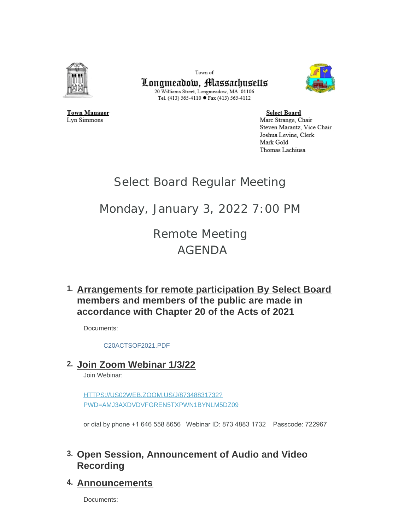

Town of Longmeadow, Massachusetts 20 Williams Street, Longmeadow, MA 01106 Tel. (413) 565-4110 ● Fax (413) 565-4112



**Town Manager** Lyn Simmons

**Select Board** Marc Strange, Chair Steven Marantz, Vice Chair Joshua Levine, Clerk Mark Gold Thomas Lachiusa

# Select Board Regular Meeting

# Monday, January 3, 2022 7:00 PM

Remote Meeting AGENDA

# **Arrangements for remote participation By Select Board 1. members and members of the public are made in accordance with Chapter 20 of the Acts of 2021**

Documents:

[C20ACTSOF2021.PDF](https://www.longmeadow.org/AgendaCenter/ViewFile/Item/1999?fileID=21164)

# **Join Zoom Webinar 1/3/22 2.**

Join Webinar:

HTTPS://US02WEB.ZOOM.US/J/87348831732? [PWD=AMJ3AXDVDVFGREN5TXPWN1BYNLM5DZ09](https://us02web.zoom.us/j/87348831732?pwd=amJ3aXdVdVFGREN5TXpwN1BYNlM5dz09)

or dial by phone +1 646 558 8656 Webinar ID: 873 4883 1732 Passcode: 722967

# **Open Session, Announcement of Audio and Video 3. Recording**

# **Announcements 4.**

Documents: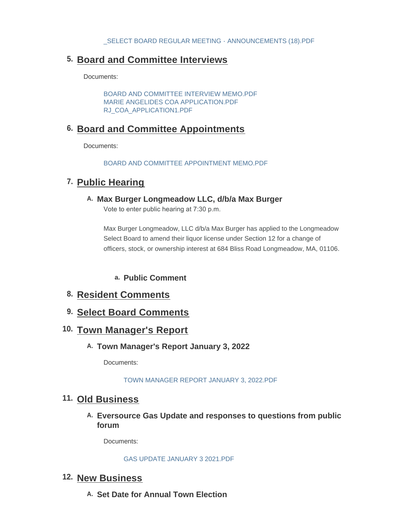# **Board and Committee Interviews 5.**

Documents:

[BOARD AND COMMITTEE INTERVIEW MEMO.PDF](https://www.longmeadow.org/AgendaCenter/ViewFile/Item/2009?fileID=21208) [MARIE ANGELIDES COA APPLICATION.PDF](https://www.longmeadow.org/AgendaCenter/ViewFile/Item/2009?fileID=21206) [RJ\\_COA\\_APPLICATION1.PDF](https://www.longmeadow.org/AgendaCenter/ViewFile/Item/2009?fileID=21207)

# **Board and Committee Appointments 6.**

Documents:

[BOARD AND COMMITTEE APPOINTMENT MEMO.PDF](https://www.longmeadow.org/AgendaCenter/ViewFile/Item/2008?fileID=21205)

### 7. Public Hearing

**Max Burger Longmeadow LLC, d/b/a Max Burger A.**

Vote to enter public hearing at 7:30 p.m.

Max Burger Longmeadow, LLC d/b/a Max Burger has applied to the Longmeadow Select Board to amend their liquor license under Section 12 for a change of officers, stock, or ownership interest at 684 Bliss Road Longmeadow, MA, 01106.

- **Public Comment a.**
- **Resident Comments 8.**
- **Select Board Comments 9.**

### 10. Town Manager's Report

**Town Manager's Report January 3, 2022 A.**

Documents:

#### [TOWN MANAGER REPORT JANUARY 3, 2022.PDF](https://www.longmeadow.org/AgendaCenter/ViewFile/Item/2040?fileID=21214)

### **Old Business 11.**

**Eversource Gas Update and responses to questions from public A. forum**

Documents:

#### [GAS UPDATE JANUARY 3 2021.PDF](https://www.longmeadow.org/AgendaCenter/ViewFile/Item/2011?fileID=21202)

### 12. New Business

**Set Date for Annual Town Election A.**